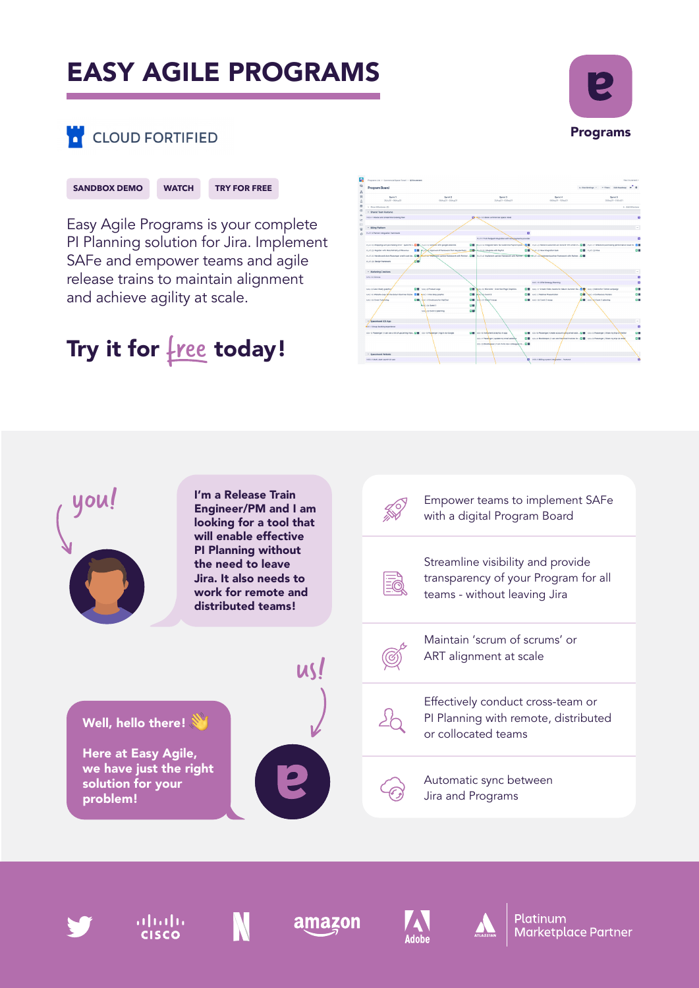# EASY AGILE PROGRAMS



# **CLOUD FORTIFIED**



Easy Agile Programs is your complete PI Planning solution for Jira. Implement SAFe and empower teams and agile release trains to maintain alignment and achieve agility at scale.

# Try it for  $free$  today!

















Platinum **Marketplace Partner**